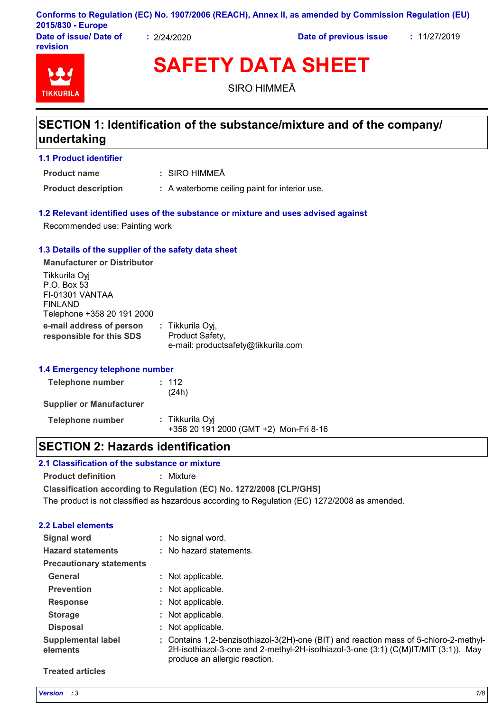|                        |             | Conforms to Regulation (EC) No. 1907/2006 (REACH), Annex II, as amended by Commission Regulation (EU) |              |
|------------------------|-------------|-------------------------------------------------------------------------------------------------------|--------------|
| 2015/830 - Europe      |             |                                                                                                       |              |
| Date of issue/ Date of | : 2/24/2020 | Date of previous issue                                                                                | : 11/27/2019 |

**Date of issue/ Date of revision**



# **SAFETY DATA SHEET**

SIRO HIMMEÄ

### **SECTION 1: Identification of the substance/mixture and of the company/ undertaking**

**1.1 Product identifier**

**Product name**

SIRO HIMMEÄ **:**

**Product description :** A waterborne ceiling paint for interior use.

### **1.2 Relevant identified uses of the substance or mixture and uses advised against**

Recommended use: Painting work

### **1.3 Details of the supplier of the safety data sheet**

**e-mail address of person responsible for this SDS :** Tikkurila Oyj, Product Safety, e-mail: productsafety@tikkurila.com **Manufacturer or Distributor** Tikkurila Oyj P.O. Box 53 FI-01301 VANTAA FINLAND Telephone +358 20 191 2000

### **1.4 Emergency telephone number**

| Telephone number                | : 112<br>(24h)                                            |  |
|---------------------------------|-----------------------------------------------------------|--|
| <b>Supplier or Manufacturer</b> |                                                           |  |
| Telephone number                | : Tikkurila Oyi<br>+358 20 191 2000 (GMT +2) Mon-Fri 8-16 |  |

### **SECTION 2: Hazards identification**

### **2.1 Classification of the substance or mixture**

**Product definition :** Mixture

**Classification according to Regulation (EC) No. 1272/2008 [CLP/GHS]**

The product is not classified as hazardous according to Regulation (EC) 1272/2008 as amended.

### **2.2 Label elements**

| Signal word                           | No signal word.                                                                                                                                                                                              |
|---------------------------------------|--------------------------------------------------------------------------------------------------------------------------------------------------------------------------------------------------------------|
| <b>Hazard statements</b>              | : No hazard statements.                                                                                                                                                                                      |
| <b>Precautionary statements</b>       |                                                                                                                                                                                                              |
| General                               | : Not applicable.                                                                                                                                                                                            |
| <b>Prevention</b>                     | : Not applicable.                                                                                                                                                                                            |
| <b>Response</b>                       | Not applicable.                                                                                                                                                                                              |
| <b>Storage</b>                        | : Not applicable.                                                                                                                                                                                            |
| <b>Disposal</b>                       | : Not applicable.                                                                                                                                                                                            |
| <b>Supplemental label</b><br>elements | : Contains 1,2-benzisothiazol-3(2H)-one (BIT) and reaction mass of 5-chloro-2-methyl-<br>2H-isothiazol-3-one and 2-methyl-2H-isothiazol-3-one (3:1) (C(M)IT/MIT (3:1)). May<br>produce an allergic reaction. |

#### **Treated articles**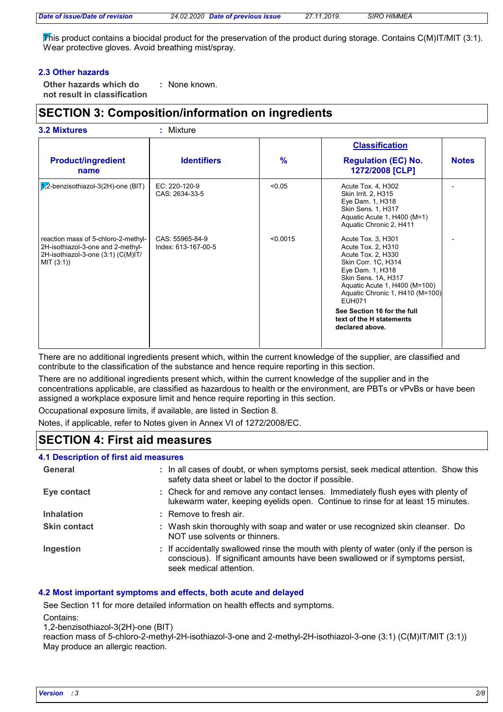This product contains a biocidal product for the preservation of the product during storage. Contains C(M)IT/MIT (3:1). Wear protective gloves. Avoid breathing mist/spray.

### **2.3 Other hazards**

**Other hazards which do : not result in classification** : None known.

### **SECTION 3: Composition/information on ingredients**

|                                                                                                                              |                                        |               | <b>Classification</b>                                                                                                                                                                                                 |              |
|------------------------------------------------------------------------------------------------------------------------------|----------------------------------------|---------------|-----------------------------------------------------------------------------------------------------------------------------------------------------------------------------------------------------------------------|--------------|
| <b>Product/ingredient</b><br>name                                                                                            | <b>Identifiers</b>                     | $\frac{9}{6}$ | <b>Regulation (EC) No.</b><br>1272/2008 [CLP]                                                                                                                                                                         | <b>Notes</b> |
| $1/2$ -benzisothiazol-3(2H)-one (BIT)                                                                                        | EC: 220-120-9<br>CAS: 2634-33-5        | < 0.05        | Acute Tox. 4, H302<br>Skin Irrit. 2, H315<br>Eye Dam. 1, H318<br>Skin Sens. 1, H317<br>Aquatic Acute 1, H400 (M=1)<br>Aquatic Chronic 2, H411                                                                         |              |
| reaction mass of 5-chloro-2-methyl-<br>2H-isothiazol-3-one and 2-methyl-<br>2H-isothiazol-3-one (3:1) (C(M)IT/<br>MIT (3:1)) | CAS: 55965-84-9<br>Index: 613-167-00-5 | < 0.0015      | Acute Tox. 3, H301<br>Acute Tox. 2, H310<br>Acute Tox. 2, H330<br>Skin Corr. 1C, H314<br>Eye Dam. 1, H318<br>Skin Sens. 1A, H317<br>Aquatic Acute 1, H400 (M=100)<br>Aquatic Chronic 1, H410 (M=100)<br><b>EUH071</b> |              |
|                                                                                                                              |                                        |               | See Section 16 for the full<br>text of the H statements<br>declared above.                                                                                                                                            |              |

There are no additional ingredients present which, within the current knowledge of the supplier, are classified and contribute to the classification of the substance and hence require reporting in this section.

There are no additional ingredients present which, within the current knowledge of the supplier and in the concentrations applicable, are classified as hazardous to health or the environment, are PBTs or vPvBs or have been assigned a workplace exposure limit and hence require reporting in this section.

Occupational exposure limits, if available, are listed in Section 8.

Notes, if applicable, refer to Notes given in Annex VI of 1272/2008/EC.

### **SECTION 4: First aid measures**

| 4.1 Description of first aid measures |                                                                                                                                                                                                      |
|---------------------------------------|------------------------------------------------------------------------------------------------------------------------------------------------------------------------------------------------------|
| General                               | : In all cases of doubt, or when symptoms persist, seek medical attention. Show this<br>safety data sheet or label to the doctor if possible.                                                        |
| Eye contact                           | : Check for and remove any contact lenses. Immediately flush eyes with plenty of<br>lukewarm water, keeping eyelids open. Continue to rinse for at least 15 minutes.                                 |
| <b>Inhalation</b>                     | : Remove to fresh air.                                                                                                                                                                               |
| <b>Skin contact</b>                   | : Wash skin thoroughly with soap and water or use recognized skin cleanser. Do<br>NOT use solvents or thinners.                                                                                      |
| Ingestion                             | : If accidentally swallowed rinse the mouth with plenty of water (only if the person is<br>conscious). If significant amounts have been swallowed or if symptoms persist,<br>seek medical attention. |

### **4.2 Most important symptoms and effects, both acute and delayed**

See Section 11 for more detailed information on health effects and symptoms.

Contains:

1,2-benzisothiazol-3(2H)-one (BIT)

reaction mass of 5-chloro-2-methyl-2H-isothiazol-3-one and 2-methyl-2H-isothiazol-3-one (3:1) (C(M)IT/MIT (3:1)) May produce an allergic reaction.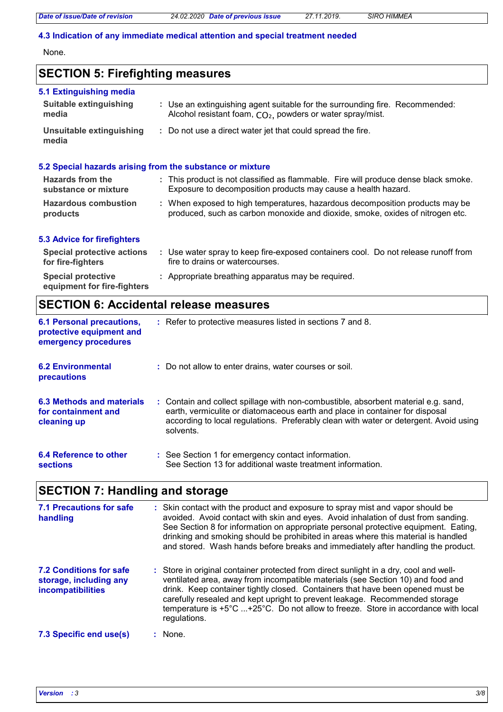*Date of issue/Date of revision 24.02.2020 Date of previous issue 27.11.2019. SIRO HIMMEÄ*

### **4.3 Indication of any immediate medical attention and special treatment needed**

None.

### **SECTION 5: Firefighting measures**

| 5.1 Extinguishing media                                  |                                                                                                                                                               |
|----------------------------------------------------------|---------------------------------------------------------------------------------------------------------------------------------------------------------------|
| <b>Suitable extinguishing</b><br>media                   | : Use an extinguishing agent suitable for the surrounding fire. Recommended:<br>Alcohol resistant foam, CO <sub>2</sub> , powders or water spray/mist.        |
| Unsuitable extinguishing<br>media                        | : Do not use a direct water jet that could spread the fire.                                                                                                   |
|                                                          | 5.2 Special hazards arising from the substance or mixture                                                                                                     |
| Hazards from the<br>substance or mixture                 | : This product is not classified as flammable. Fire will produce dense black smoke.<br>Exposure to decomposition products may cause a health hazard.          |
| <b>Hazardous combustion</b><br>products                  | : When exposed to high temperatures, hazardous decomposition products may be<br>produced, such as carbon monoxide and dioxide, smoke, oxides of nitrogen etc. |
| <b>5.3 Advice for firefighters</b>                       |                                                                                                                                                               |
| <b>Special protective actions</b><br>for fire-fighters   | : Use water spray to keep fire-exposed containers cool. Do not release runoff from<br>fire to drains or watercourses.                                         |
| <b>Special protective</b><br>equipment for fire-fighters | : Appropriate breathing apparatus may be required.                                                                                                            |

### **SECTION 6: Accidental release measures**

| <b>6.1 Personal precautions,</b><br>protective equipment and<br>emergency procedures | : Refer to protective measures listed in sections 7 and 8.                                                                                                                                                                                                               |
|--------------------------------------------------------------------------------------|--------------------------------------------------------------------------------------------------------------------------------------------------------------------------------------------------------------------------------------------------------------------------|
| <b>6.2 Environmental</b><br><b>precautions</b>                                       | : Do not allow to enter drains, water courses or soil.                                                                                                                                                                                                                   |
| 6.3 Methods and materials<br>for containment and<br>cleaning up                      | : Contain and collect spillage with non-combustible, absorbent material e.g. sand,<br>earth, vermiculite or diatomaceous earth and place in container for disposal<br>according to local regulations. Preferably clean with water or detergent. Avoid using<br>solvents. |
| 6.4 Reference to other<br><b>sections</b>                                            | : See Section 1 for emergency contact information.<br>See Section 13 for additional waste treatment information.                                                                                                                                                         |

## **SECTION 7: Handling and storage**

| 7.1 Precautions for safe<br>handling                                          | : Skin contact with the product and exposure to spray mist and vapor should be<br>avoided. Avoid contact with skin and eyes. Avoid inhalation of dust from sanding.<br>See Section 8 for information on appropriate personal protective equipment. Eating,<br>drinking and smoking should be prohibited in areas where this material is handled<br>and stored. Wash hands before breaks and immediately after handling the product.            |
|-------------------------------------------------------------------------------|------------------------------------------------------------------------------------------------------------------------------------------------------------------------------------------------------------------------------------------------------------------------------------------------------------------------------------------------------------------------------------------------------------------------------------------------|
| <b>7.2 Conditions for safe</b><br>storage, including any<br>incompatibilities | : Store in original container protected from direct sunlight in a dry, cool and well-<br>ventilated area, away from incompatible materials (see Section 10) and food and<br>drink. Keep container tightly closed. Containers that have been opened must be<br>carefully resealed and kept upright to prevent leakage. Recommended storage<br>temperature is +5°C +25°C. Do not allow to freeze. Store in accordance with local<br>regulations. |
| 7.3 Specific end use(s)                                                       | $:$ None.                                                                                                                                                                                                                                                                                                                                                                                                                                      |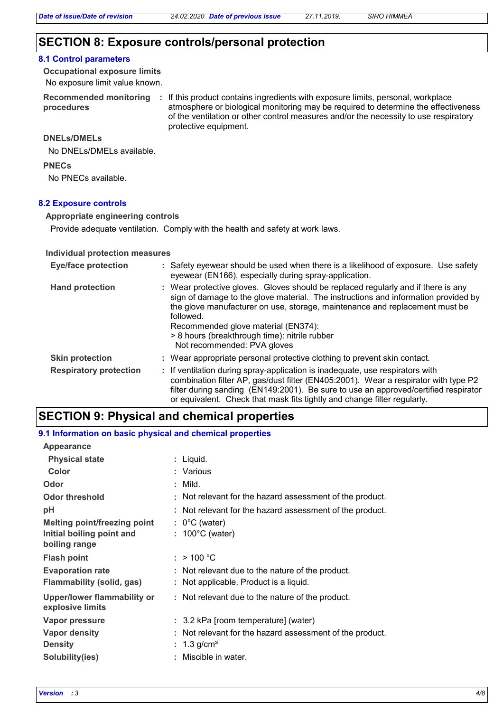### **SECTION 8: Exposure controls/personal protection**

#### **8.1 Control parameters**

No exposure limit value known. **Occupational exposure limits**

**procedures**

Recommended monitoring : If this product contains ingredients with exposure limits, personal, workplace atmosphere or biological monitoring may be required to determine the effectiveness of the ventilation or other control measures and/or the necessity to use respiratory protective equipment.

### **DNELs/DMELs**

No DNELs/DMELs available.

#### **PNECs**

No PNECs available.

### **8.2 Exposure controls**

#### **Appropriate engineering controls**

Provide adequate ventilation. Comply with the health and safety at work laws.

#### **Individual protection measures**

| <b>Eye/face protection</b>    | : Safety eyewear should be used when there is a likelihood of exposure. Use safety<br>eyewear (EN166), especially during spray-application.                                                                                                                                                                                                                                                |
|-------------------------------|--------------------------------------------------------------------------------------------------------------------------------------------------------------------------------------------------------------------------------------------------------------------------------------------------------------------------------------------------------------------------------------------|
| <b>Hand protection</b>        | : Wear protective gloves. Gloves should be replaced regularly and if there is any<br>sign of damage to the glove material. The instructions and information provided by<br>the glove manufacturer on use, storage, maintenance and replacement must be<br>followed.<br>Recommended glove material (EN374):<br>> 8 hours (breakthrough time): nitrile rubber<br>Not recommended: PVA gloves |
| <b>Skin protection</b>        | : Wear appropriate personal protective clothing to prevent skin contact.                                                                                                                                                                                                                                                                                                                   |
| <b>Respiratory protection</b> | : If ventilation during spray-application is inadequate, use respirators with<br>combination filter AP, gas/dust filter (EN405:2001). Wear a respirator with type P2<br>filter during sanding (EN149:2001). Be sure to use an approved/certified respirator<br>or equivalent. Check that mask fits tightly and change filter regularly.                                                    |

### **SECTION 9: Physical and chemical properties**

| 9.1 Information on basic physical and chemical properties |                                                                                            |
|-----------------------------------------------------------|--------------------------------------------------------------------------------------------|
| <b>Appearance</b>                                         |                                                                                            |
| <b>Physical state</b>                                     | : Liquid.                                                                                  |
| Color                                                     | : Various                                                                                  |
| Odor                                                      | $:$ Mild.                                                                                  |
| <b>Odor threshold</b>                                     | : Not relevant for the hazard assessment of the product.                                   |
| рH                                                        | : Not relevant for the hazard assessment of the product.                                   |
| Melting point/freezing point                              | $: 0^{\circ}$ C (water)                                                                    |
| Initial boiling point and<br>boiling range                | $: 100^{\circ}$ C (water)                                                                  |
| <b>Flash point</b>                                        | : > 100 °C                                                                                 |
| <b>Evaporation rate</b><br>Flammability (solid, gas)      | : Not relevant due to the nature of the product.<br>: Not applicable. Product is a liquid. |
| Upper/lower flammability or<br>explosive limits           | : Not relevant due to the nature of the product.                                           |
| Vapor pressure                                            | : 3.2 kPa [room temperature] (water)                                                       |
| <b>Vapor density</b>                                      | : Not relevant for the hazard assessment of the product.                                   |
| <b>Density</b>                                            | : $1.3$ g/cm <sup>3</sup>                                                                  |
| Solubility(ies)                                           | : Miscible in water.                                                                       |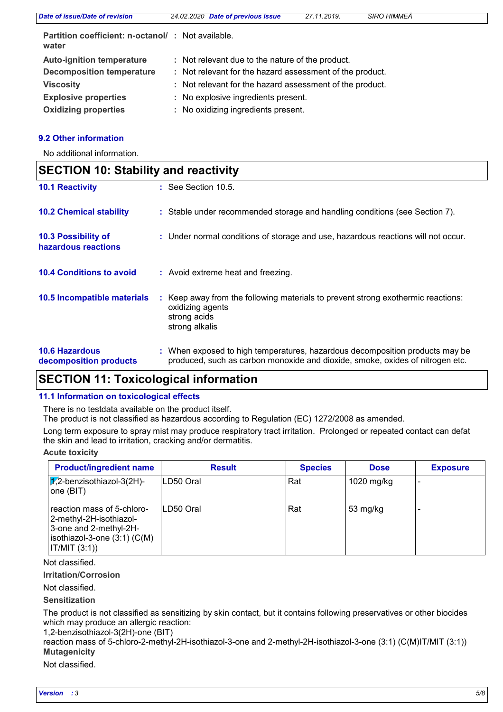| Date of issue/Date of revision                                     | 24.02.2020 Date of previous issue                        | 27.11.2019. | <b>SIRO HIMMEÄ</b> |  |
|--------------------------------------------------------------------|----------------------------------------------------------|-------------|--------------------|--|
| <b>Partition coefficient: n-octanol/ : Not available.</b><br>water |                                                          |             |                    |  |
| <b>Auto-ignition temperature</b>                                   | : Not relevant due to the nature of the product.         |             |                    |  |
| <b>Decomposition temperature</b>                                   | : Not relevant for the hazard assessment of the product. |             |                    |  |
| <b>Viscosity</b>                                                   | : Not relevant for the hazard assessment of the product. |             |                    |  |
| <b>Explosive properties</b>                                        | : No explosive ingredients present.                      |             |                    |  |
| <b>Oxidizing properties</b>                                        | : No oxidizing ingredients present.                      |             |                    |  |
|                                                                    |                                                          |             |                    |  |

### **9.2 Other information**

No additional information.

| <b>SECTION 10: Stability and reactivity</b>     |  |                                                                                                                                                               |
|-------------------------------------------------|--|---------------------------------------------------------------------------------------------------------------------------------------------------------------|
| <b>10.1 Reactivity</b>                          |  | $\therefore$ See Section 10.5.                                                                                                                                |
| <b>10.2 Chemical stability</b>                  |  | : Stable under recommended storage and handling conditions (see Section 7).                                                                                   |
| 10.3 Possibility of<br>hazardous reactions      |  | : Under normal conditions of storage and use, hazardous reactions will not occur.                                                                             |
| <b>10.4 Conditions to avoid</b>                 |  | : Avoid extreme heat and freezing.                                                                                                                            |
| 10.5 Incompatible materials                     |  | : Keep away from the following materials to prevent strong exothermic reactions:<br>oxidizing agents<br>strong acids<br>strong alkalis                        |
| <b>10.6 Hazardous</b><br>decomposition products |  | : When exposed to high temperatures, hazardous decomposition products may be<br>produced, such as carbon monoxide and dioxide, smoke, oxides of nitrogen etc. |

### **SECTION 11: Toxicological information**

### **11.1 Information on toxicological effects**

There is no testdata available on the product itself.

The product is not classified as hazardous according to Regulation (EC) 1272/2008 as amended.

Long term exposure to spray mist may produce respiratory tract irritation. Prolonged or repeated contact can defat the skin and lead to irritation, cracking and/or dermatitis.

### **Acute toxicity**

| <b>Product/ingredient name</b>                                                                                                     | <b>Result</b> | <b>Species</b> | <b>Dose</b>        | <b>Exposure</b> |
|------------------------------------------------------------------------------------------------------------------------------------|---------------|----------------|--------------------|-----------------|
| $ \overline{1/2}$ -benzisothiazol-3(2H)-<br>one (BIT)                                                                              | ILD50 Oral    | Rat            | 1020 mg/kg         |                 |
| reaction mass of 5-chloro-<br>2-methyl-2H-isothiazol-<br>3-one and 2-methyl-2H-<br>$ isothiazol-3-one(3:1)(C(M)) $<br>IT/MIT (3:1) | ILD50 Oral    | Rat            | $53 \text{ mg/kg}$ |                 |

### Not classified.

### **Irritation/Corrosion**

Not classified.

### **Sensitization**

The product is not classified as sensitizing by skin contact, but it contains following preservatives or other biocides which may produce an allergic reaction:

1,2-benzisothiazol-3(2H)-one (BIT)

**Mutagenicity** reaction mass of 5-chloro-2-methyl-2H-isothiazol-3-one and 2-methyl-2H-isothiazol-3-one (3:1) (C(M)IT/MIT (3:1))

### Not classified.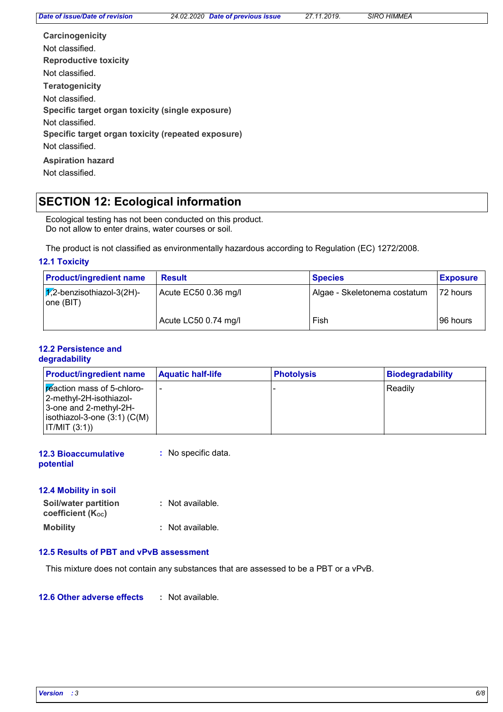| Carcinogenicity                                    |
|----------------------------------------------------|
| Not classified.                                    |
| <b>Reproductive toxicity</b>                       |
| Not classified.                                    |
| <b>Teratogenicity</b>                              |
| Not classified.                                    |
| Specific target organ toxicity (single exposure)   |
| Not classified.                                    |
| Specific target organ toxicity (repeated exposure) |
| Not classified.                                    |
| <b>Aspiration hazard</b>                           |
| Not classified.                                    |

### **SECTION 12: Ecological information**

Ecological testing has not been conducted on this product. Do not allow to enter drains, water courses or soil.

The product is not classified as environmentally hazardous according to Regulation (EC) 1272/2008.

### **12.1 Toxicity**

| <b>Product/ingredient name</b>                   | <b>Result</b>        | <b>Species</b>               | <b>Exposure</b> |
|--------------------------------------------------|----------------------|------------------------------|-----------------|
| $\sqrt{x}$ ,2-benzisothiazol-3(2H)-<br>one (BIT) | Acute EC50 0.36 mg/l | Algae - Skeletonema costatum | 172 hours       |
|                                                  | Acute LC50 0.74 mg/l | Fish                         | 196 hours       |

### **12.2 Persistence and degradability**

| <b>Product/ingredient name</b>                                                                                                       | <b>Aquatic half-life</b> | <b>Photolysis</b> | Biodegradability |
|--------------------------------------------------------------------------------------------------------------------------------------|--------------------------|-------------------|------------------|
| Freaction mass of 5-chloro-<br> 2-methyl-2H-isothiazol-<br>3-one and 2-methyl-2H-<br>$ isothiazol-3-one(3:1)(C(M)) $<br> IT/MIT(3:1) | $\overline{\phantom{a}}$ |                   | Readily          |

| <b>12.3 Bioaccumulative</b> | : No specific data. |
|-----------------------------|---------------------|
| potential                   |                     |

# **12.4 Mobility in soil**

| <b>Soil/water partition</b>    | : Not available. |
|--------------------------------|------------------|
| coefficient (K <sub>oc</sub> ) |                  |
| Mobility                       | : Not available. |

### **12.5 Results of PBT and vPvB assessment**

This mixture does not contain any substances that are assessed to be a PBT or a vPvB.

#### **12.6 Other adverse effects :**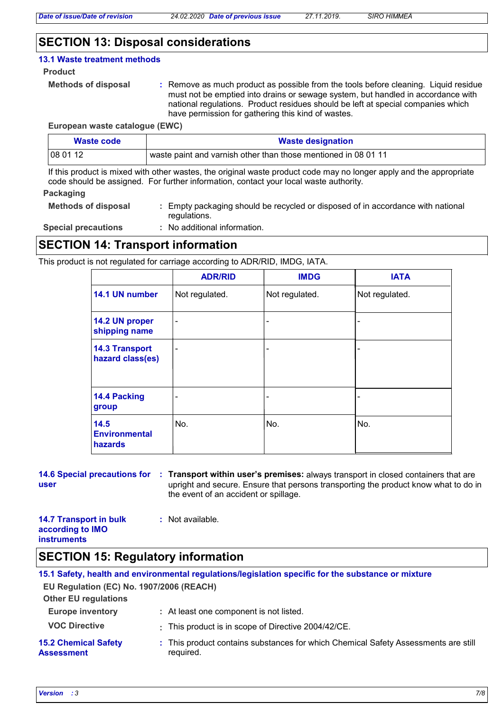### **SECTION 13: Disposal considerations**

#### **13.1 Waste treatment methods**

#### **Product**

```
Methods of disposal :
```
Remove as much product as possible from the tools before cleaning. Liquid residue must not be emptied into drains or sewage system, but handled in accordance with national regulations. Product residues should be left at special companies which have permission for gathering this kind of wastes.

#### **European waste catalogue (EWC)**

| Waste code | <b>Waste designation</b>                                       |
|------------|----------------------------------------------------------------|
| 08 01 12   | waste paint and varnish other than those mentioned in 08 01 11 |

If this product is mixed with other wastes, the original waste product code may no longer apply and the appropriate code should be assigned. For further information, contact your local waste authority.

### **Packaging**

| <b>Methods of disposal</b> | : Empty packaging should be recycled or disposed of in accordance with national |
|----------------------------|---------------------------------------------------------------------------------|
|                            | requlations.                                                                    |

**Special precautions :**

No additional information.

### **SECTION 14: Transport information**

This product is not regulated for carriage according to ADR/RID, IMDG, IATA.

|                                           | <b>ADR/RID</b> | <b>IMDG</b>    | <b>IATA</b>    |
|-------------------------------------------|----------------|----------------|----------------|
| 14.1 UN number                            | Not regulated. | Not regulated. | Not regulated. |
| 14.2 UN proper<br>shipping name           | ۰              |                |                |
| <b>14.3 Transport</b><br>hazard class(es) | ۰              |                |                |
| 14.4 Packing<br>group                     |                |                |                |
| 14.5<br><b>Environmental</b><br>hazards   | No.            | No.            | No.            |

# **user**

**14.6 Special precautions for : Transport within user's premises: always transport in closed containers that are** upright and secure. Ensure that persons transporting the product know what to do in the event of an accident or spillage.

| <b>14.7 Transport in bulk</b> | : Not available. |
|-------------------------------|------------------|
| according to IMO              |                  |
| <b>instruments</b>            |                  |

### **SECTION 15: Regulatory information**

**Other EU regulations Europe inventory :** At least one component is not listed. **15.1 Safety, health and environmental regulations/legislation specific for the substance or mixture EU Regulation (EC) No. 1907/2006 (REACH) 15.2 Chemical Safety Assessment** This product contains substances for which Chemical Safety Assessments are still **:** required. **VOC Directive :** This product is in scope of Directive 2004/42/CE.